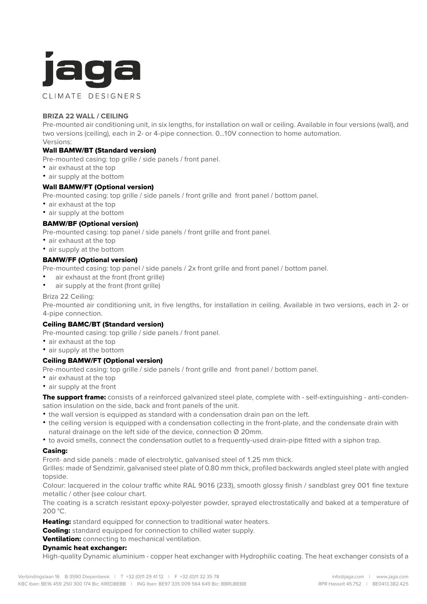

## **BRIZA 22 WALL / CEILING**

Pre-mounted air conditioning unit, in six lengths, for installation on wall or ceiling. Available in four versions (wall), and two versions (ceiling), each in 2- or 4-pipe connection, 0...10V connection to home automation. Versions:

# Wall BAMW/BT (Standard version)

Pre-mounted casing: top grille / side panels / front panel.

- air exhaust at the top
- air supply at the bottom

### Wall BAMW/FT (Optional version)

Pre-mounted casing: top grille / side panels / front grille and front panel / bottom panel.

- air exhaust at the top
- air supply at the bottom

### BAMW/BF (Optional version)

Pre-mounted casing: top panel / side panels / front grille and front panel.

- air exhaust at the top
- air supply at the bottom

### BAMW/FF (Optional version)

Pre-mounted casing: top panel / side panels / 2x front grille and front panel / bottom panel.

- air exhaust at the front (front grille)
- air supply at the front (front grille)

### Briza 22 Ceiling:

Pre-mounted air conditioning unit, in five lengths, for installation in ceiling. Available in two versions, each in 2- or 4-pipe connection.

### Ceiling BAMC/BT (Standard version)

Pre-mounted casing: top grille / side panels / front panel.

- air exhaust at the top
- air supply at the bottom

### Ceiling BAMW/FT (Optional version)

Pre-mounted casing: top grille / side panels / front grille and front panel / bottom panel.

- air exhaust at the top
- air supply at the front

The support frame: consists of a reinforced galvanized steel plate, complete with - self-extinguishing - anti-condensation insulation on the side, back and front panels of the unit.

- the wall version is equipped as standard with a condensation drain pan on the left.
- the ceiling version is equipped with a condensation collecting in the front-plate, and the condensate drain with natural drainage on the left side of the device, connection Ø 20mm.
- to avoid smells, connect the condensation outlet to a frequently-used drain-pipe fitted with a siphon trap.

### Casing:

Front- and side panels : made of electrolytic, galvanised steel of 1.25 mm thick.

Grilles: made of Sendzimir, galvanised steel plate of 0.80 mm thick, profiled backwards angled steel plate with angled topside.

Colour: lacquered in the colour traffic white RAL 9016 (233), smooth glossy finish / sandblast grey 001 fine texture metallic / other (see colour chart.

The coating is a scratch resistant epoxy-polyester powder, sprayed electrostatically and baked at a temperature of 200 °C.

Heating: standard equipped for connection to traditional water heaters.

**Cooling:** standard equipped for connection to chilled water supply.

### Ventilation: connecting to mechanical ventilation.

### Dynamic heat exchanger:

High-quality Dynamic aluminium - copper heat exchanger with Hydrophilic coating. The heat exchanger consists of a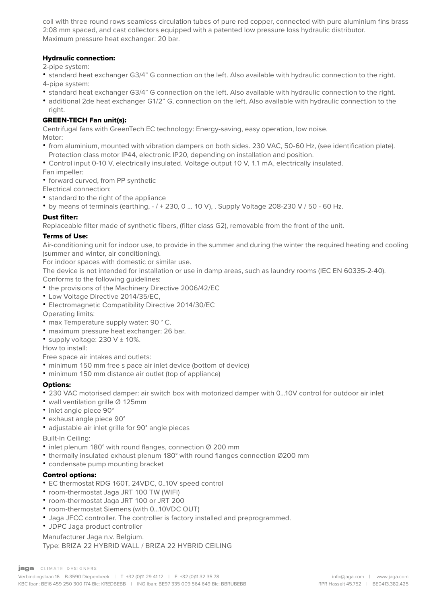coil with three round rows seamless circulation tubes of pure red copper, connected with pure aluminium fins brass 2:08 mm spaced, and cast collectors equipped with a patented low pressure loss hydraulic distributor. Maximum pressure heat exchanger: 20 bar.

## Hydraulic connection:

2-pipe system:

- standard heat exchanger G3/4" G connection on the left. Also available with hydraulic connection to the right. 4-pipe system:
- standard heat exchanger G3/4" G connection on the left. Also available with hydraulic connection to the right.
- additional 2de heat exchanger G1/2" G, connection on the left. Also available with hydraulic connection to the right.

## GREEN-TECH Fan unit(s):

Centrifugal fans with GreenTech EC technology: Energy-saving, easy operation, low noise. Motor:

- from aluminium, mounted with vibration dampers on both sides. 230 VAC, 50-60 Hz, (see identification plate). Protection class motor IP44, electronic IP20, depending on installation and position.
- Control input 0-10 V, electrically insulated. Voltage output 10 V, 1.1 mA, electrically insulated.

Fan impeller:

- forward curved, from PP synthetic
- Electrical connection:
- standard to the right of the appliance
- by means of terminals (earthing,  $-/ + 230$ , 0 ... 10 V), . Supply Voltage 208-230 V / 50 60 Hz.

### Dust filter:

Replaceable filter made of synthetic fibers, (filter class G2), removable from the front of the unit.

## Terms of Use:

Air-conditioning unit for indoor use, to provide in the summer and during the winter the required heating and cooling (summer and winter, air conditioning).

For indoor spaces with domestic or similar use.

The device is not intended for installation or use in damp areas, such as laundry rooms (IEC EN 60335-2-40).

- Conforms to the following guidelines:
- the provisions of the Machinery Directive 2006/42/EC
- Low Voltage Directive 2014/35/EC,
- Electromagnetic Compatibility Directive 2014/30/EC

Operating limits:

- max Temperature supply water: 90 ° C.
- maximum pressure heat exchanger: 26 bar.
- supply voltage:  $230 \text{ V} \pm 10\%$ .

How to install:

Free space air intakes and outlets:

- minimum 150 mm free s pace air inlet device (bottom of device)
- minimum 150 mm distance air outlet (top of appliance)

## Options:

- 230 VAC motorised damper: air switch box with motorized damper with 0...10V control for outdoor air inlet
- wall ventilation grille Ø 125mm
- inlet angle piece 90°
- exhaust angle piece 90°
- adjustable air inlet grille for 90° angle pieces

Built-In Ceiling:

- inlet plenum 180° with round flanges, connection Ø 200 mm
- thermally insulated exhaust plenum 180° with round flanges connection Ø200 mm
- condensate pump mounting bracket

## Control options:

- EC thermostat RDG 160T, 24VDC, 0..10V speed control
- room-thermostat Jaga JRT 100 TW (WIFI)
- room-thermostat Jaga JRT 100 or JRT 200
- room-thermostat Siemens (with 0...10VDC OUT)
- Jaga JFCC controller. The controller is factory installed and preprogrammed.
- JDPC Jaga product controller

### Manufacturer Jaga n.v. Belgium.

Type: BRIZA 22 HYBRID WALL / BRIZA 22 HYBRID CEILING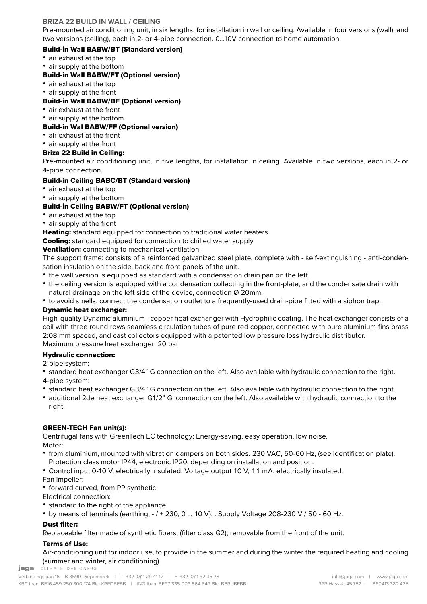## **BRIZA 22 BUILD IN WALL / CEILING**

Pre-mounted air conditioning unit, in six lengths, for installation in wall or ceiling. Available in four versions (wall), and two versions (ceiling), each in 2- or 4-pipe connection. 0...10V connection to home automation.

## Build-in Wall BABW/BT (Standard version)

- air exhaust at the top
- air supply at the bottom

## Build-in Wall BABW/FT (Optional version)

- air exhaust at the top
- air supply at the front

## Build-in Wall BABW/BF (Optional version)

- air exhaust at the front
- air supply at the bottom

## Build-in Wal BABW/FF (Optional version)

- air exhaust at the front
- air supply at the front

## Briza 22 Build in Ceiling:

Pre-mounted air conditioning unit, in five lengths, for installation in ceiling. Available in two versions, each in 2- or 4-pipe connection.

## Build-in Ceiling BABC/BT (Standard version)

- air exhaust at the top
- air supply at the bottom

## Build-in Ceiling BABW/FT (Optional version)

- air exhaust at the top
- air supply at the front

**Heating:** standard equipped for connection to traditional water heaters.

**Cooling:** standard equipped for connection to chilled water supply.

Ventilation: connecting to mechanical ventilation.

The support frame: consists of a reinforced galvanized steel plate, complete with - self-extinguishing - anti-condensation insulation on the side, back and front panels of the unit.

- the wall version is equipped as standard with a condensation drain pan on the left.
- the ceiling version is equipped with a condensation collecting in the front-plate, and the condensate drain with natural drainage on the left side of the device, connection Ø 20mm.

• to avoid smells, connect the condensation outlet to a frequently-used drain-pipe fitted with a siphon trap.

## Dynamic heat exchanger:

High-quality Dynamic aluminium - copper heat exchanger with Hydrophilic coating. The heat exchanger consists of a coil with three round rows seamless circulation tubes of pure red copper, connected with pure aluminium fins brass 2:08 mm spaced, and cast collectors equipped with a patented low pressure loss hydraulic distributor. Maximum pressure heat exchanger: 20 bar.

## Hydraulic connection:

- 2-pipe system:
- standard heat exchanger G3/4" G connection on the left. Also available with hydraulic connection to the right.
- 4-pipe system:
- standard heat exchanger G3/4" G connection on the left. Also available with hydraulic connection to the right.
- additional 2de heat exchanger G1/2" G, connection on the left. Also available with hydraulic connection to the right.

### GREEN-TECH Fan unit(s):

Centrifugal fans with GreenTech EC technology: Energy-saving, easy operation, low noise. Motor:

- from aluminium, mounted with vibration dampers on both sides. 230 VAC, 50-60 Hz, (see identification plate). Protection class motor IP44, electronic IP20, depending on installation and position.
- Control input 0-10 V, electrically insulated. Voltage output 10 V, 1.1 mA, electrically insulated.

Fan impeller:

• forward curved, from PP synthetic

Electrical connection:

- standard to the right of the appliance
- by means of terminals (earthing,  $-/ + 230$ , 0 ... 10 V), . Supply Voltage 208-230 V / 50 60 Hz.

### Dust filter:

Replaceable filter made of synthetic fibers, (filter class G2), removable from the front of the unit.

### Terms of Use:

Air-conditioning unit for indoor use, to provide in the summer and during the winter the required heating and cooling (summer and winter, air conditioning).<br>**jaga** CLIMATE DESIGNERS